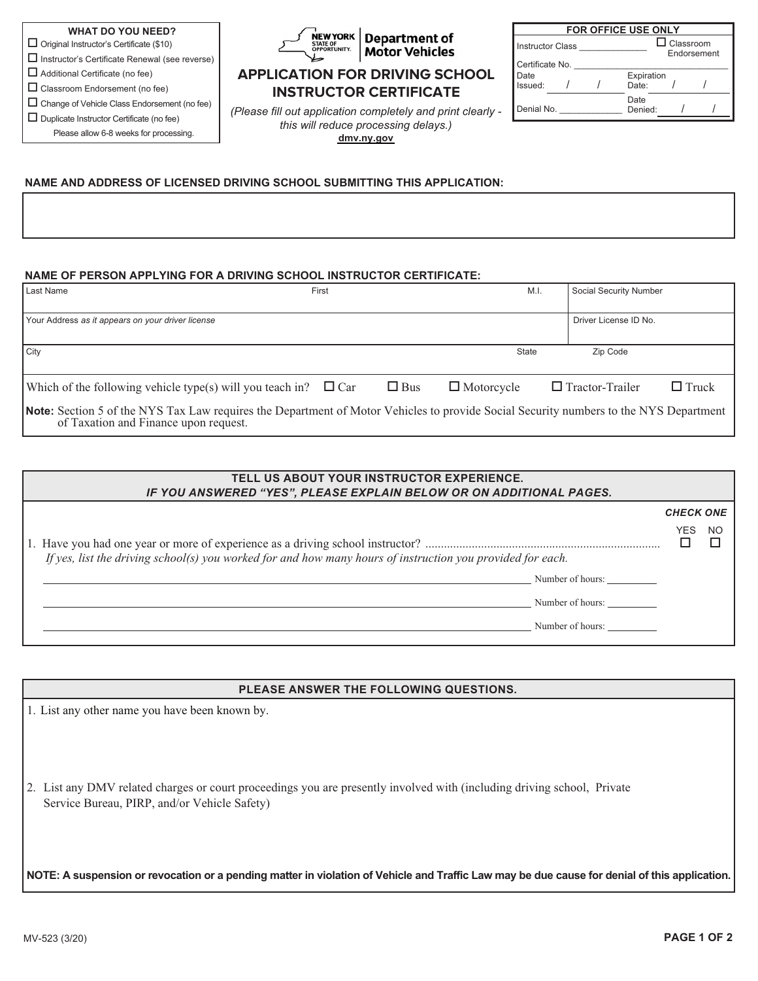$\Box$  Original Instructor's Certificate (\$10)

- $\square$  Instructor's Certificate Renewal (see reverse)
- $\Box$  Additional Certificate (no fee)  $\Box$  Classroom Endorsement (no fee)
- 

 $\Box$  Change of Vehicle Class Endorsement (no fee)  $\Box$  Duplicate Instructor Certificate (no fee)

Please allow 6-8 weeks for processing.



# **Motor Vehicles**

### **APPLICATION FOR DRIVING SCHOOL INSTRUCTOR CERTIFICATE**

*(Please fill out application completely and print clearly this will reduce processing delays.)*  **[dmv.ny.gov](https://dmv.ny.gov/)**

| <b>FOR OFFICE USE ONLY</b> |  |  |                     |                                 |  |  |
|----------------------------|--|--|---------------------|---------------------------------|--|--|
| <b>Instructor Class</b>    |  |  |                     | $\Box$ Classroom<br>Endorsement |  |  |
| Certificate No.            |  |  |                     |                                 |  |  |
| Date<br>Issued:            |  |  | Expiration<br>Date: |                                 |  |  |
| Denial No.                 |  |  | Date<br>Denied:     |                                 |  |  |

#### **NAME AND ADDRESS OF LICENSED DRIVING SCHOOL SUBMITTING THIS APPLICATION:**

#### **NAME OF PERSON APPLYING FOR A DRIVING SCHOOL INSTRUCTOR CERTIFICATE:**

| Last Name                                                                                                                                                                      | First |            | M.I.              | Social Security Number                 |  |
|--------------------------------------------------------------------------------------------------------------------------------------------------------------------------------|-------|------------|-------------------|----------------------------------------|--|
| Your Address as it appears on your driver license                                                                                                                              |       |            |                   | Driver License ID No.                  |  |
| City                                                                                                                                                                           |       |            | State             | Zip Code                               |  |
| Which of the following vehicle type(s) will you teach in? $\Box$ Car                                                                                                           |       | $\Box$ Bus | $\Box$ Motorcycle | $\Box$ Tractor-Trailer<br>$\Box$ Truck |  |
| Note: Section 5 of the NYS Tax Law requires the Department of Motor Vehicles to provide Social Security numbers to the NYS Department<br>of Taxation and Finance upon request. |       |            |                   |                                        |  |

| TELL US ABOUT YOUR INSTRUCTOR EXPERIENCE.<br>IF YOU ANSWERED "YES", PLEASE EXPLAIN BELOW OR ON ADDITIONAL PAGES. |                  |     |
|------------------------------------------------------------------------------------------------------------------|------------------|-----|
|                                                                                                                  | <b>CHECK ONE</b> |     |
| If yes, list the driving school(s) you worked for and how many hours of instruction you provided for each.       | YES.             | NO. |
| Number of hours:                                                                                                 |                  |     |
| Number of hours:                                                                                                 |                  |     |
| Number of hours:                                                                                                 |                  |     |
|                                                                                                                  |                  |     |

#### **PLEASE ANSWER THE FOLLOWING QUESTIONS.**

1. List any other name you have been known by.

2. List any DMV related charges or court proceedings you are presently involved with (including driving school, Private Service Bureau, PIRP, and/or Vehicle Safety)

**NOTE: A suspension or revocation or a pending matter in violation of Vehicle and Traffic Law may be due cause for denial of this application.**